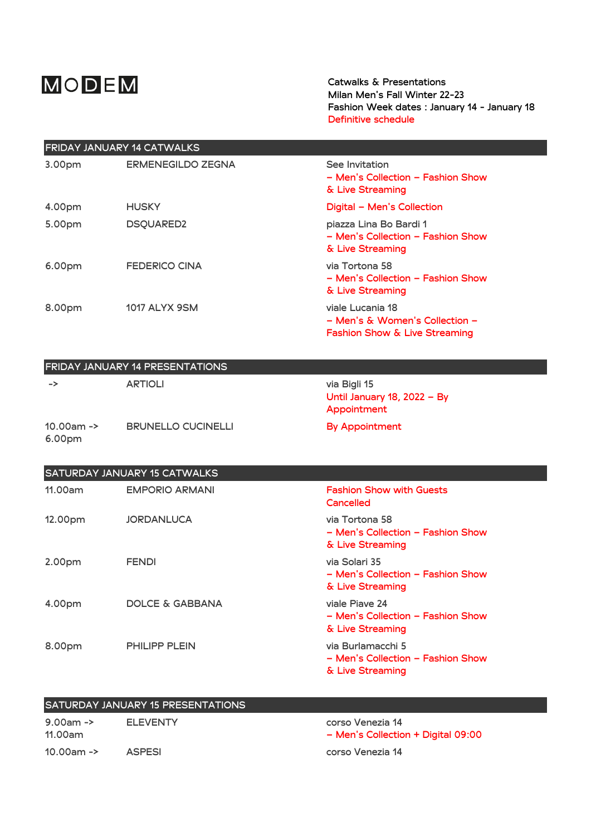## MODEM

Catwalks & Presentations **Milan Men's Fall Winter 22-23** Fashion Week dates : January 14 - January 18 **Definitive schedule**

| <b>FRIDAY JANUARY 14 CATWALKS</b> |                          |                                                                                                |  |
|-----------------------------------|--------------------------|------------------------------------------------------------------------------------------------|--|
| 3.00pm                            | <b>ERMENEGILDO ZEGNA</b> | See Invitation<br>- Men's Collection - Fashion Show<br>& Live Streaming                        |  |
| 4.00pm                            | <b>HUSKY</b>             | Digital - Men's Collection                                                                     |  |
| 5.00pm                            | <b>DSQUARED2</b>         | piazza Lina Bo Bardi 1<br>- Men's Collection - Fashion Show<br>& Live Streaming                |  |
| 6.00pm                            | <b>FEDERICO CINA</b>     | via Tortona 58<br>– Men's Collection – Fashion Show<br>& Live Streaming                        |  |
| 8.00pm                            | <b>1017 ALYX 9SM</b>     | viale Lucania 18<br>– Men's & Women's Collection –<br><b>Fashion Show &amp; Live Streaming</b> |  |

| <b>FRIDAY JANUARY 14 PRESENTATIONS</b> |                           |                                                            |  |
|----------------------------------------|---------------------------|------------------------------------------------------------|--|
| ->                                     | <b>ARTIOLI</b>            | via Bigli 15<br>Until January 18, 2022 - By<br>Appointment |  |
| $10.00$ am -><br>6.00pm                | <b>BRUNELLO CUCINELLI</b> | By Appointment                                             |  |

| <b>SATURDAY JANUARY 15 CATWALKS</b> |                       |                                                                            |  |
|-------------------------------------|-----------------------|----------------------------------------------------------------------------|--|
| 11.00am                             | <b>EMPORIO ARMANI</b> | <b>Fashion Show with Guests</b><br>Cancelled                               |  |
| 12.00pm                             | <b>JORDANLUCA</b>     | via Tortona 58<br>– Men's Collection – Fashion Show<br>& Live Streaming    |  |
| 2.00pm                              | <b>FENDI</b>          | via Solari 35<br>– Men's Collection – Fashion Show<br>& Live Streaming     |  |
| 4.00pm                              | DOLCE & GABBANA       | viale Piave 24<br>– Men's Collection – Fashion Show<br>& Live Streaming    |  |
| 8.00pm                              | <b>PHILIPP PLEIN</b>  | via Burlamacchi 5<br>– Men's Collection – Fashion Show<br>& Live Streaming |  |

| <b>SATURDAY JANUARY 15 PRESENTATIONS</b> |                 |                                                        |
|------------------------------------------|-----------------|--------------------------------------------------------|
| $9.00$ am -><br>11.00am                  | <b>FLEVENTY</b> | corso Venezia 14<br>- Men's Collection + Digital 09:00 |
| 10.00am $\rightarrow$                    | <b>ASPESI</b>   | corso Venezia 14                                       |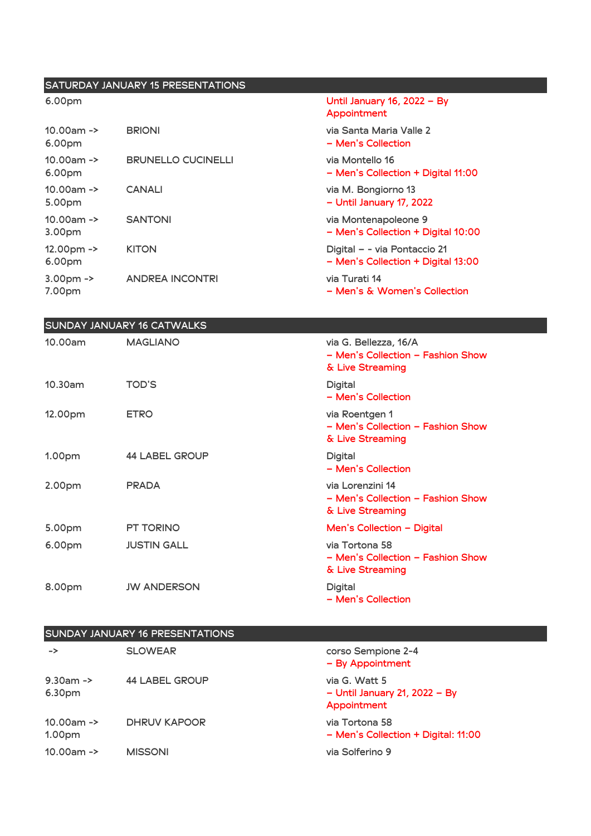## SATURDAY JANUARY 15 PRESENTATIONS 6.00pm Until January 16, 2022 – By Appointment 10.00am -> 6.00pm **BRIONI** via Santa Maria Valle 2 – Men's Collection 10.00am -> 6.00pm BRUNELLO CUCINELLI<br>
via Montello 16 – Men's Collection + Digital 11:00 10.00am -> 5.00pm **CANALI** via M. Bongiorno 13 – Until January 17, 2022 10.00am -> 3.00pm SANTONI via Montenapoleone 9 – Men's Collection + Digital 10:00 12.00pm -> 6.00pm KITON **Digital – - via Pontaccio 21** – Men's Collection + Digital 13:00 3.00pm -> 7.00pm **ANDREA INCONTRI** via Turati 14 – Men's & Women's Collection

| <b>SUNDAY JANUARY 16 CATWALKS</b> |                       |                                                                                |  |
|-----------------------------------|-----------------------|--------------------------------------------------------------------------------|--|
| 10.00am                           | <b>MAGLIANO</b>       | via G. Bellezza, 16/A<br>- Men's Collection - Fashion Show<br>& Live Streaming |  |
| 10.30am                           | <b>TOD'S</b>          | <b>Digital</b><br>- Men's Collection                                           |  |
| 12.00pm                           | <b>ETRO</b>           | via Roentgen 1<br>- Men's Collection - Fashion Show<br>& Live Streaming        |  |
| 1.00 <sub>pm</sub>                | <b>44 LABEL GROUP</b> | <b>Digital</b><br>- Men's Collection                                           |  |
| 2.00pm                            | <b>PRADA</b>          | via Lorenzini 14<br>- Men's Collection - Fashion Show<br>& Live Streaming      |  |
| 5.00pm                            | <b>PT TORINO</b>      | Men's Collection $-$ Digital                                                   |  |
| 6.00pm                            | <b>JUSTIN GALL</b>    | via Tortona 58<br>- Men's Collection - Fashion Show<br>& Live Streaming        |  |
| 8.00pm                            | <b>JW ANDERSON</b>    | <b>Digital</b><br>- Men's Collection                                           |  |

|  | <b>SUNDAY JANUARY 16 PRESENTATIONS</b> |
|--|----------------------------------------|
|  |                                        |

| ->                                  | <b>SLOWEAR</b>        | corso Sempione 2-4<br>- By Appointment                            |
|-------------------------------------|-----------------------|-------------------------------------------------------------------|
| $9.30$ am -><br>6.30pm              | <b>44 LABEL GROUP</b> | via G. Watt 5<br>$-$ Until January 21, 2022 $-$ By<br>Appointment |
| $10.00$ am -><br>1.00 <sub>pm</sub> | <b>DHRUV KAPOOR</b>   | via Tortona 58<br>- Men's Collection + Digital: 11:00             |
| $10.00$ am ->                       | <b>MISSONI</b>        | via Solferino 9                                                   |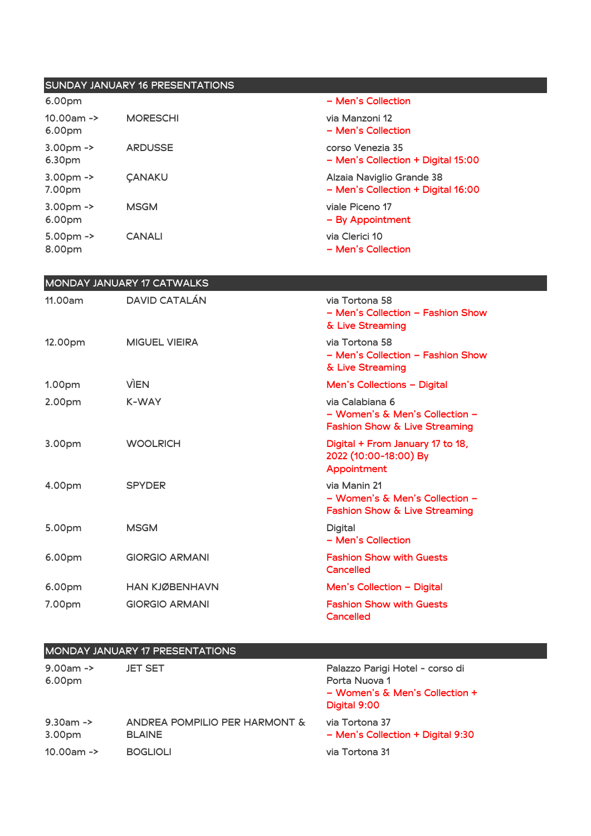| <b>SUNDAY JANUARY 16 PRESENTATIONS</b> |                      |                                                                 |
|----------------------------------------|----------------------|-----------------------------------------------------------------|
| 6.00pm                                 |                      | - Men's Collection                                              |
| $10.00$ am -><br>6.00pm                | <b>MORESCHI</b>      | via Manzoni 12<br>– Men's Collection                            |
| $3.00pm ->$<br>6.30pm                  | <b>ARDUSSE</b>       | corso Venezia 35<br>- Men's Collection + Digital 15:00          |
| $3.00pm -$<br>7.00pm                   | <b><i>CANAKU</i></b> | Alzaia Naviglio Grande 38<br>- Men's Collection + Digital 16:00 |
| $3.00pm$ -><br>6.00pm                  | <b>MSGM</b>          | viale Piceno 17<br>- By Appointment                             |
| $5.00pm$ -><br>8.00pm                  | <b>CANALI</b>        | via Clerici 10<br>– Men's Collection                            |

| MONDAY JANUARY 17 CATWALKS |                       |                                                                                    |  |
|----------------------------|-----------------------|------------------------------------------------------------------------------------|--|
| 11.00am                    | <b>DAVID CATALÁN</b>  | via Tortona 58<br>- Men's Collection - Fashion Show<br>& Live Streaming            |  |
| 12.00pm                    | <b>MIGUEL VIEIRA</b>  | via Tortona 58<br>- Men's Collection - Fashion Show<br>& Live Streaming            |  |
| 1.00pm                     | <b>VIEN</b>           | Men's Collections - Digital                                                        |  |
| 2.00pm                     | K-WAY                 | via Calabiana 6<br>– Women's & Men's Collection –<br>Fashion Show & Live Streaming |  |
| 3.00pm                     | <b>WOOLRICH</b>       | Digital + From January 17 to 18,<br>2022 (10:00-18:00) By<br>Appointment           |  |
| 4.00pm                     | <b>SPYDER</b>         | via Manin 21<br>– Women's & Men's Collection –<br>Fashion Show & Live Streaming    |  |
| 5.00pm                     | <b>MSGM</b>           | Digital<br>– Men's Collection                                                      |  |
| 6.00pm                     | <b>GIORGIO ARMANI</b> | <b>Fashion Show with Guests</b><br>Cancelled                                       |  |
| 6.00pm                     | <b>HAN KJØBENHAVN</b> | Men's Collection - Digital                                                         |  |
| 7.00pm                     | <b>GIORGIO ARMANI</b> | <b>Fashion Show with Guests</b><br>Cancelled                                       |  |

| <b>MONDAY JANUARY 17 PRESENTATIONS</b>  |                                                                   |                                                                                                    |  |
|-----------------------------------------|-------------------------------------------------------------------|----------------------------------------------------------------------------------------------------|--|
| $9.00$ am -><br>6.00pm                  | <b>JET SET</b>                                                    | Palazzo Parigi Hotel - corso di<br>Porta Nuova 1<br>- Women's & Men's Collection +<br>Digital 9:00 |  |
| $9.30$ am -><br>3.00pm<br>$10.00$ am -> | ANDREA POMPILIO PER HARMONT &<br><b>BLAINE</b><br><b>BOGLIOLI</b> | via Tortona 37<br>- Men's Collection + Digital 9:30<br>via Tortona 31                              |  |